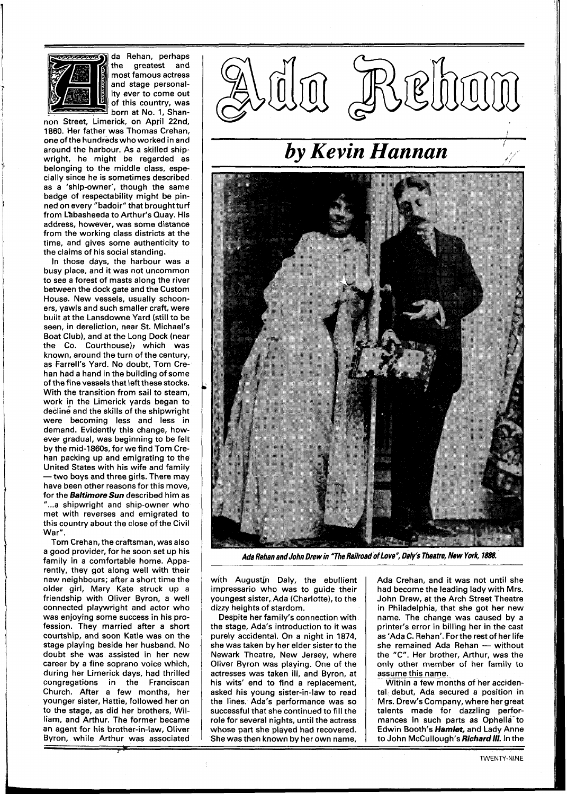

da Rehan, perhaps the greatest and most famous actress and stage personality ever to come out of this country, was born at No. 1, Shan-

non Street, Limerick, on April 22nd. 1860. Her father was Thomas Crehan, one of the hundreds who worked in and around the harbour. As a skilled shipwright, he might be regarded as belonging to the middle class, especially since he is sometimes described as a 'ship-owner', though the same badge of respectability might be pinned on every "badoir" that brought turf from Labasheeda to Arthur's Quay. His address, however, was some distance from the working class districts at the time, and gives some authenticity to the claims of his social standing.

In those days, the harbour was a busy place, and it was not uncommon to see a forest of masts along the river between the dock gate and the Custom House. New vessels, usually schooners, yawls and such smaller craft, were built at the Lansdowne Yard (still to be seen, in dereliction, near St. Michael's Boat Club), and at the Long Dock (near the Co. Courthouse); which was known, around the turn of the century, as Farrell's Yard. No doubt, Tom Crehan had a hand in the building of some of the fine vessels that left these stocks. With the transition from sail to steam, work in the Limerick yards began to decline and the skills of the shipwright were becoming less and less in demand. Evidently this change, however gradual, was beginning to be felt by the mid-1860s, for we find Tom Crehan packing up and emigrating to the United States with his wife and family -two boys and three girls. There may have been other reasons for this move, for the **Baltimore** Sun described him as ...a shipwright and ship-owner who met with reverses and emigrated to this country about the close of the Civil War".

Tom Crehan, the craftsman, was also a good provider, for he soon set up his family in a comfortable home. Apparently, they got along well with their new neighbours; after a short time the older girl, Mary Kate struck up a friendship with Oliver Byron, a well connected playwright and actor who was enjoying some success in his profession. They married after a short courtship, and soon Katie was on the stage playing beside her husband. No doubt she was assisted in her new career by a fine soprano voice which, during her Limerick days, had thrilled congregatibns in the Franciscan Church. After a few months, her younger sister, Hattie, followed her on to the stage, as did her brothers, William, and Arthur. The former became an agent for his brother-in-law, Oliver Byron, while Arthur was associated -



## *by Kevin Hannan*



**Ada Rehan and John Drew in "The Railroad of Love", Daly's Theatre, New York, 1838.** 

with Augustin Daly, the ebullient impresario who was to guide their youngest sister, Ada (Charlotte), to the dizzy heights of stardom.

Despite her family's connection with the stage, Ada's introduction to it was purely accidental. On a night in 1874, she was taken by her elder sister to the Newark Theatre, New Jersey, where Oliver Byron was playing. One of the actresses was taken ill, and Byron, at his wits' end to find a replacement, asked his young sister-in-law to read the lines. Ada's performance was so successful that she continued to fill the role for several nights, until the actress whose part she played had recovered. She was then known by her own name,

Ada Crehan, and it was not until she had become the leading lady with Mrs. John Drew, at the Arch Street Theatre in Philadelphia, that she got her new name. The change was caused by a printer's error in billing her in the cast as 'Ada C. Rehan'. For the rest of her life printer's error in billing her in the cast<br>as 'Ada C. Rehan'. For the rest of her life<br>she\_remained\_Ada\_Rehan --- without<br>the\_"C"\_Use\_betther\_Arthun\_use\_the the "C". Her brother, Arthur, was the only other member of her family to assume this name.

Within a few months of her accidental debut, Ada secured a position in Mrs. Drew's Company, where her great talents made for dazzling performances in such parts as Ophelia<sup>to</sup> Edwin Booth's **Hamlet,** and Lady Anne to John McCullough's **Richard III.** In the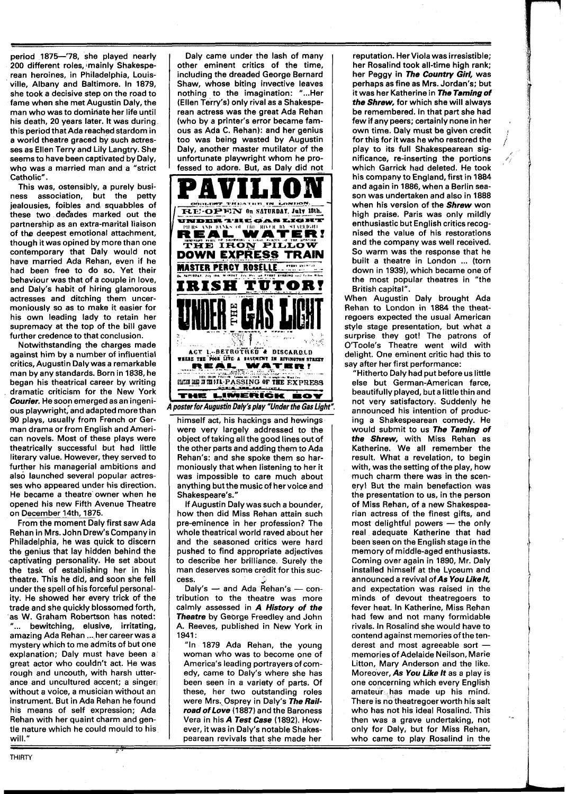period 1875-'78, she played nearly 200 different roles, mainly Shakesperean heroines, in Philadelphia, Louisville, Albany and Baltimore. In 1879, she took a decisive step on the road to fame when she met Augustin Daly, the man who was to dominate her life until his death, 20 years later. It was during this period that Ada reached stardom in a world theatre graced by such actresses as Ellen Terry and Lily Langtry. She seems to have been captivated by Daly, who was a married man and a "strict Catholic".

This was, ostensibly, a purely business association, but the petty jealousies, foibles and, squabbles of these two decades marked out the partnership as an extra-marital liaison of the deepest emotional attachment, though it was opined by more than one contemporary that Daly would not have married Ada Rehan, even if he had been free to do so. Yet their behaviour was that of a couple in love, and Daly's habit of hiring glamorous actresses and ditching them uncermoniously so as to make it easier for his own leading lady to retain her supremacy at the top of the bill gave further credence to that conclusion.

Notwithstanding the charges made against him by a number of influential critics, Augustin Daly was a remarkable man by any standards. Born in 1838, he began his theatrical career by writing dramatic criticism for the New York **Courier.** He soop emerged as an ingenious playwright, and adapted more than 90 plays, usually from French or German drama or from English and American novels. Most of these plays were theatrically successful but had little literary value. However, they sewed to further his managerial ambitions and also launched several popular actresses who appeared under his direction. He became a theatre owner when he opened his new Fifth Avenue Theatre on December 14th, 1875.

From the moment Daly first saw Ada Rehan in Mrs. John Drew's Company in Philadelphia, he was quick to discern the genius that lay hidden behind the captivating personality. He set about the task of establishing her in his theatre. This he did, and soon she fell under the spell of his forceful personality. He showed her every trick of the trade and she quickly blossomed forth, as W. Graham Robertson has noted: "... bewitching, elusive, irritating, amazing Ada Rehan ... her career was a mystery which to me admits of but one explanation; Daly must have been a great actor who couldn't act. He was rough and uncouth, with harsh utterance and uncultured accent; a singer without a voice, a musician without an instrument. But in Ada Rehan he found his means of self expression; Ada Rehan with her quaint charm and gentle nature which he could mould to his will."

 $\overline{\phantom{a}}$ 

Daly came under the lash of many other eminent critics of the time, including the dreaded George Bernard Shaw, whose biting invective leaves nothing to the imagination: "...Her (Ellen Terry's) only rival as a Shakesperean actress was the great Ada Rehan (who by a printer's error became famous as Ada C. Rehan): and her genius too was being wasted by Augustin Daly, another master mutilator of the unfortunate playwright whom he professed to adore. But, as Daly did not



himself act, his hackings and hewings were very largely addressed to the object of taking all the good lines out of the other parts and adding them to Ada Rehan's: and she spoke them so harmoniously that when listening to her it was impossible to care much about anything but the music of her voice and Shakespeare's."

If Augustin Daly was such a bounder, how then did Miss Rehan attain such pre-eminence in her profession? The whole theatrical world raved about her and the seasoned critics were hard pushed to find appropriate adjectives to describe her brilliance. Surely the man deserves some credit for this suc- $\mathsf{cess.}$  Just  $\mathcal{Z}$ an deserves some credit for this suc-<br>ss.<br>Daly's — and Ada Rehan's — con-<br>bution, to the thestre was more

tribution to the theatre was more calmly assessed in **A History of the Theatre** by George Freedley and John A. Reeves, published in New York in 1941 :

"In 1879 Ada Rehan, the young woman who was to become one of America's leading portrayers of comedy, came to Daly's where she has been seen in a variaty of parts. Of these, her two outstanding roles were Mrs. Osprey in Daly's **The Railroadof Love** (1887) and the Baroness Vera in his **A Test Case** (1892). However, it was in Daly's notable Shakespearean revivals that she made her

reputation. Her Viola was irresistible; her Rosalind took all-time high rank; her Peggy in **The Country Girl,** was perhaps as fine as Mrs. Jordan's; but it was her Katherine in **The Taming of the Shrew,** for which she will always be remembered. In that part she had few if any peers; certainly none in her own time. Daly must be given credit for this for it was he who restored the play to its full Shakespearean significance, re-inserting the portions which Garrick had deleted. He took his company to England, first in 1884 and again in 1886, when a Berlin season was undertaken and also in 1888 when his version of the **Shrew** won high praise. Paris was only mildly enthusiastic but English critics recognised the value of his restorations and the company was well received. So warm was the response that he built a theatre in London ... (torn down in 1939), which became one of the most popular theatres in "the British capital".

When Augustin Daly brought Ada Rehan to London in 1884 the theatregoers expected the usual American style stage presentation, but what a surprise they got! The patrons of O'Toole's Theatre went wild with delight. One eminent critic had this to say after her first performance:

"Hitherto Daly had put before us little else but German-American farce, beautifully played, but a little thin and not very satisfactory. Suddenly he announced his intention of producing a Shakespearean comedy. He would submit to us **The Taming of the Shrew,** with Miss Rehan as Katherine. We all remember the result. What a revelation, to begin with, was the setting of the play, how much charm there was in the scenery! But the main benefaction was the presentation to us, in the person of Miss Rehan, of a new Shakespearian actress of the finest gifts, and of Miss Rehan, of a new Shakespea-<br>rian actress of the finest gifts, and<br>most delightful powers — the only real adequate Katherine that had been seen on the English stage in the memory of middle-aged enthusiasts. Coming over again in 1890, Mr. Daly installed himself at the Lyceum and announced a revival of **As You Likelt,**  and expectation was raised in the minds of devout theatregoers to fever heat. In Katherine, Miss Rehan had few and not many formidable rivals. In Rosalind she would have to contend against memories of the tenrivals. In Rosalind she would have to<br>contend against memories of the ten-<br>derest and most agreeable sort —<br>memories of Adelaide Neilson, Marie Litton, Mary Anderson and the like. Moreover, **As You Like It** as a play is one concerning which every English amateur has made up his mind. There is no theatregoer worth his salt who has not his ideal Rosalind. This then was a grave undertaking, not only for Daly, but for Miss Rehan, who came to play Rosalind in the

 $\mathcal{L}_{\mathcal{A}}$